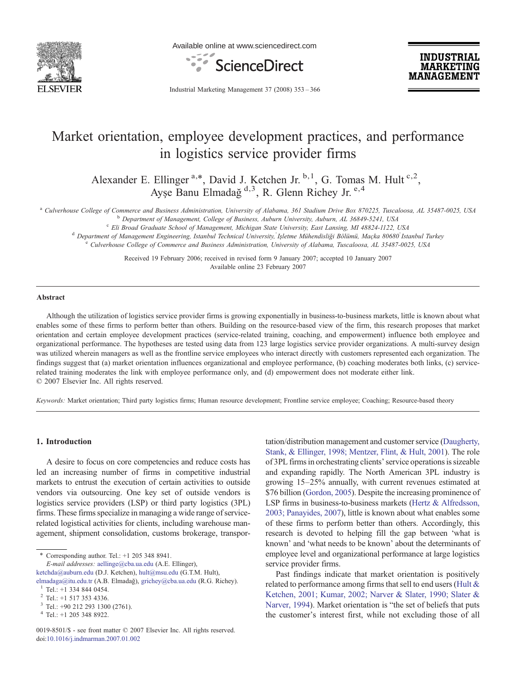

Available online at www.sciencedirect.com



**INDUSTRIAL MARKETING MANAGEMEN** 

Industrial Marketing Management 37 (2008) 353–366

## Market orientation, employee development practices, and performance in logistics service provider firms

Alexander E. Ellinger<sup>a,\*</sup>, David J. Ketchen Jr.<sup>b,1</sup>, G. Tomas M. Hult<sup>c,2</sup>, Ayşe Banu Elmadağ d,3, R. Glenn Richey Jr. e,4

<sup>a</sup> Culverhouse College of Commerce and Business Administration, University of Alabama, 361 Stadium Drive Box 870225, Tuscaloosa, AL 35487-0025, USA<br><sup>b</sup> Department of Management. College of Business. Auburn University. Aub

<sup>c</sup> Eli Broad Graduate School of Management, Michigan State University, East Lansing, MI 48824-1122, USA<br><sup>d</sup> Department of Management Engineering, Istanbul Technical University, Isletme Mühendisliği Bölümü, Maçka 80680 Ist

Received 19 February 2006; received in revised form 9 January 2007; accepted 10 January 2007 Available online 23 February 2007

## Abstract

Although the utilization of logistics service provider firms is growing exponentially in business-to-business markets, little is known about what enables some of these firms to perform better than others. Building on the resource-based view of the firm, this research proposes that market orientation and certain employee development practices (service-related training, coaching, and empowerment) influence both employee and organizational performance. The hypotheses are tested using data from 123 large logistics service provider organizations. A multi-survey design was utilized wherein managers as well as the frontline service employees who interact directly with customers represented each organization. The findings suggest that (a) market orientation influences organizational and employee performance, (b) coaching moderates both links, (c) servicerelated training moderates the link with employee performance only, and (d) empowerment does not moderate either link. © 2007 Elsevier Inc. All rights reserved.

Keywords: Market orientation; Third party logistics firms; Human resource development; Frontline service employee; Coaching; Resource-based theory

## 1. Introduction

A desire to focus on core competencies and reduce costs has led an increasing number of firms in competitive industrial markets to entrust the execution of certain activities to outside vendors via outsourcing. One key set of outside vendors is logistics service providers (LSP) or third party logistics (3PL) firms. These firms specialize in managing a wide range of servicerelated logistical activities for clients, including warehouse management, shipment consolidation, customs brokerage, transpor-

⁎ Corresponding author. Tel.: +1 205 348 8941.

E-mail addresses: [aellinge@cba.ua.edu](mailto:aellinge@cba.ua.edu) (A.E. Ellinger),

tation/distribution management and customer service ([Daugherty,](#page--1-0) [Stank, & Ellinger, 1998; Mentzer, Flint, & Hult, 2001\)](#page--1-0). The role of 3PL firms in orchestrating clients' service operations is sizeable and expanding rapidly. The North American 3PL industry is growing 15–25% annually, with current revenues estimated at \$76 billion [\(Gordon, 2005](#page--1-0)). Despite the increasing prominence of LSP firms in business-to-business markets [\(Hertz & Alfredsson,](#page--1-0) [2003; Panayides, 2007\)](#page--1-0), little is known about what enables some of these firms to perform better than others. Accordingly, this research is devoted to helping fill the gap between 'what is known' and 'what needs to be known' about the determinants of employee level and organizational performance at large logistics service provider firms.

Past findings indicate that market orientation is positively related to performance among firms that sell to end users ([Hult &](#page--1-0) [Ketchen, 2001; Kumar, 2002; Narver & Slater, 1990; Slater &](#page--1-0) [Narver, 1994\)](#page--1-0). Market orientation is "the set of beliefs that puts the customer's interest first, while not excluding those of all

[ketchda@auburn.edu](mailto:ketchda@auburn.edu) (D.J. Ketchen), [hult@msu.edu](mailto:hult@msu.edu) (G.T.M. Hult),

[elmadaga@itu.edu.tr](mailto:elmadaga@itu.edu.tr) (A.B. Elmadağ), [grichey@cba.ua.edu](mailto:grichey@cba.ua.edu) (R.G. Richey).<br><sup>1</sup> Tel.: +1 334 844 0454.

<sup>2</sup> Tel.: +1 517 353 4336.<br> $3$  Tel.: +90 212 293 1300 (2761).<br> $4$  Tel.: +1 205 348 8922.

<sup>0019-8501/\$ -</sup> see front matter © 2007 Elsevier Inc. All rights reserved. doi:[10.1016/j.indmarman.2007.01.002](http://dx.doi.org/10.1016/j.indmarman.2007.01.002)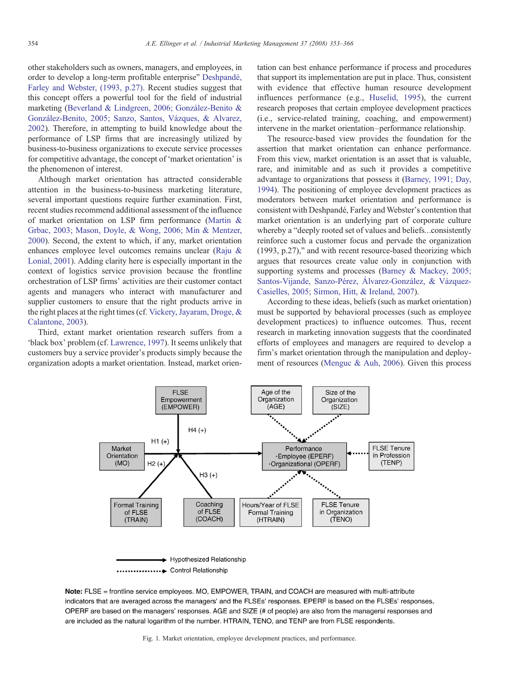other stakeholders such as owners, managers, and employees, in order to develop a long-term profitable enterprise" [Deshpandé,](#page--1-0) [Farley and Webster, \(1993, p.27\)](#page--1-0). Recent studies suggest that this concept offers a powerful tool for the field of industrial marketing [\(Beverland & Lindgreen, 2006; González-Benito &](#page--1-0) [González-Benito, 2005; Sanzo, Santos, Vázques, & Alvarez,](#page--1-0) [2002\)](#page--1-0). Therefore, in attempting to build knowledge about the performance of LSP firms that are increasingly utilized by business-to-business organizations to execute service processes for competitive advantage, the concept of 'market orientation' is the phenomenon of interest.

Although market orientation has attracted considerable attention in the business-to-business marketing literature, several important questions require further examination. First, recent studies recommend additional assessment of the influence of market orientation on LSP firm performance [\(Martin &](#page--1-0) [Grbac, 2003; Mason, Doyle, & Wong, 2006; Min & Mentzer,](#page--1-0) [2000\)](#page--1-0). Second, the extent to which, if any, market orientation enhances employee level outcomes remains unclear [\(Raju &](#page--1-0) [Lonial, 2001](#page--1-0)). Adding clarity here is especially important in the context of logistics service provision because the frontline orchestration of LSP firms' activities are their customer contact agents and managers who interact with manufacturer and supplier customers to ensure that the right products arrive in the right places at the right times (cf. [Vickery, Jayaram, Droge, &](#page--1-0) [Calantone, 2003\)](#page--1-0).

Third, extant market orientation research suffers from a 'black box' problem (cf. [Lawrence, 1997\)](#page--1-0). It seems unlikely that customers buy a service provider's products simply because the organization adopts a market orientation. Instead, market orientation can best enhance performance if process and procedures that support its implementation are put in place. Thus, consistent with evidence that effective human resource development influences performance (e.g., [Huselid, 1995\)](#page--1-0), the current research proposes that certain employee development practices (i.e., service-related training, coaching, and empowerment) intervene in the market orientation–performance relationship.

The resource-based view provides the foundation for the assertion that market orientation can enhance performance. From this view, market orientation is an asset that is valuable, rare, and inimitable and as such it provides a competitive advantage to organizations that possess it ([Barney, 1991; Day,](#page--1-0) [1994\)](#page--1-0). The positioning of employee development practices as moderators between market orientation and performance is consistent with Deshpandé, Farley and Webster's contention that market orientation is an underlying part of corporate culture whereby a "deeply rooted set of values and beliefs…consistently reinforce such a customer focus and pervade the organization (1993, p.27)," and with recent resource-based theorizing which argues that resources create value only in conjunction with supporting systems and processes ([Barney & Mackey, 2005;](#page--1-0) [Santos-Vijande, Sanzo-Pérez, Álvarez-González, & Vázquez-](#page--1-0)[Casielles, 2005; Sirmon, Hitt, & Ireland, 2007\)](#page--1-0).

According to these ideas, beliefs (such as market orientation) must be supported by behavioral processes (such as employee development practices) to influence outcomes. Thus, recent research in marketing innovation suggests that the coordinated efforts of employees and managers are required to develop a firm's market orientation through the manipulation and deployment of resources ([Menguc & Auh, 2006](#page--1-0)). Given this process



Note: FLSE = frontline service employees. MO, EMPOWER, TRAIN, and COACH are measured with multi-attribute indicators that are averaged across the managers' and the FLSEs' responses. EPERF is based on the FLSEs' responses. OPERF are based on the managers' responses. AGE and SIZE (# of people) are also from the managersi responses and are included as the natural logarithm of the number. HTRAIN, TENO, and TENP are from FLSE respondents.